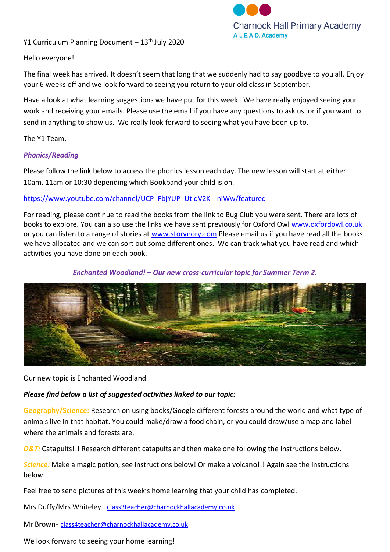

Y1 Curriculum Planning Document  $-13<sup>th</sup>$  July 2020

### Hello everyone!

The final week has arrived. It doesn't seem that long that we suddenly had to say goodbye to you all. Enjoy your 6 weeks off and we look forward to seeing you return to your old class in September.

Have a look at what learning suggestions we have put for this week. We have really enjoyed seeing your work and receiving your emails. Please use the email if you have any questions to ask us, or if you want to send in anything to show us. We really look forward to seeing what you have been up to.

The Y1 Team.

### *Phonics/Reading*

Please follow the link below to access the phonics lesson each day. The new lesson will start at either 10am, 11am or 10:30 depending which Bookband your child is on.

### [https://www.youtube.com/channel/UCP\\_FbjYUP\\_UtldV2K\\_-niWw/featured](https://www.youtube.com/channel/UCP_FbjYUP_UtldV2K_-niWw/featured)

For reading, please continue to read the books from the link to Bug Club you were sent. There are lots of books to explore. You can also use the links we have sent previously for Oxford Owl [www.oxfordowl.co.uk](http://www.oxfordowl.co.uk/) or you can listen to a range of stories at [www.storynory.com](http://www.storynory.com/) Please email us if you have read all the books we have allocated and we can sort out some different ones. We can track what you have read and which activities you have done on each book.

### *Enchanted Woodland! – Our new cross-curricular topic for Summer Term 2.*



Our new topic is Enchanted Woodland.

### *Please find below a list of suggested activities linked to our topic:*

**Geography/Science:** Research on using books/Google different forests around the world and what type of animals live in that habitat. You could make/draw a food chain, or you could draw/use a map and label where the animals and forests are.

*D&T:* Catapults!!! Research different catapults and then make one following the instructions below.

*Science:* Make a magic potion, see instructions below! Or make a volcano!!! Again see the instructions below.

Feel free to send pictures of this week's home learning that your child has completed.

Mrs Duffy/Mrs Whiteley– c[lass3teacher@charnockhallacademy.co.uk](mailto:class3teacher@charnockhallacademy.co.uk) 

Mr Brown- [class4teacher@charnockhallacademy.co.uk](mailto:class4teacher@charnockhallacademy.co.uk)

We look forward to seeing your home learning!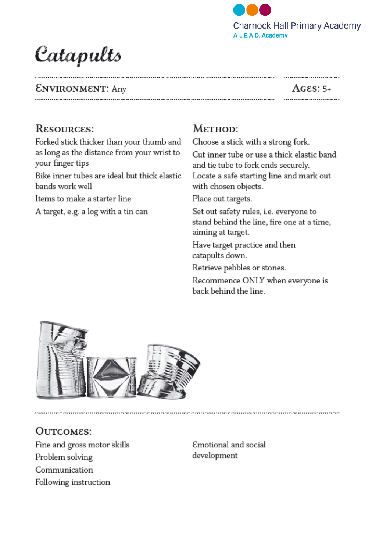

# Catapults

## **ENVIRONMENT:** Any

## Ages: 5+ ........................

.........................

# RESOURCES:

Forked stick thicker than your thumb and as long as the distance from your wrist to your finger tips

Bike inner tubes are ideal but thick elastic bands work well

Items to make a starter line

A target, e.g. a log with a tin can

# Мєтнор:

Choose a stick with a strong fork.

Cut inner tube or use a thick elastic band and tie tube to fork ends securely. Locate a safe starting line and mark out with chosen objects.

Place out targets.

Set out safety rules, i.e. everyone to stand behind the line, fire one at a time, aiming at target.

Have target practice and then catapults down.

Retrieve pebbles or stones.

Recommence ONLY when everyone is back behind the line.



## OUTCOMES:

Fine and gross motor skills Problem solving Communication Following instruction

Emotional and social development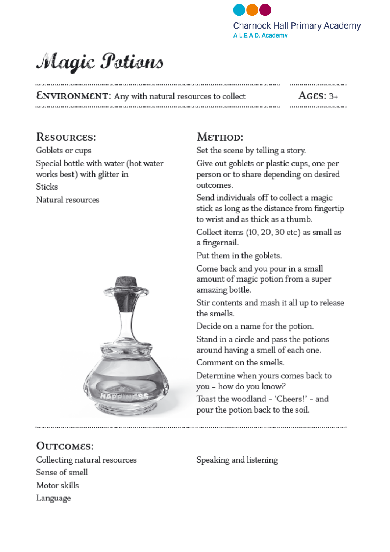

# Magic Potions

........................... **ENVIRONMENT:** Any with natural resources to collect  $AGES: 3+$ 

## RESOURCES:

Goblets or cups Special bottle with water (hot water works best) with glitter in **Sticks** Natural resources



# OUTCOMES:

Collecting natural resources Sense of smell Motor skills Language

## $MefHOD:$

Set the scene by telling a story.

Give out goblets or plastic cups, one per person or to share depending on desired outcomes.

Send individuals off to collect a magic stick as long as the distance from fingertip to wrist and as thick as a thumb.

Collect items (10, 20, 30 etc) as small as a fingernail.

Put them in the goblets.

Come back and you pour in a small amount of magic potion from a super amazing bottle.

Stir contents and mash it all up to release the smells.

Decide on a name for the potion.

Stand in a circle and pass the potions around having a smell of each one.

Comment on the smells.

Determine when yours comes back to you - how do you know?

Toast the woodland - 'Cheers!' - and pour the potion back to the soil.

Speaking and listening